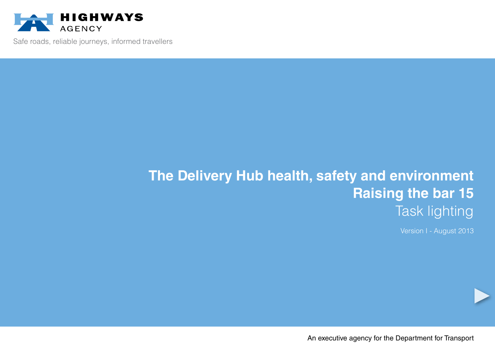

Safe roads, reliable journeys, informed travellers

# **The Delivery Hub health, safety and environment Raising the bar 15** Task lighting

Version I - August 2013

An executive agency for the Department for Transport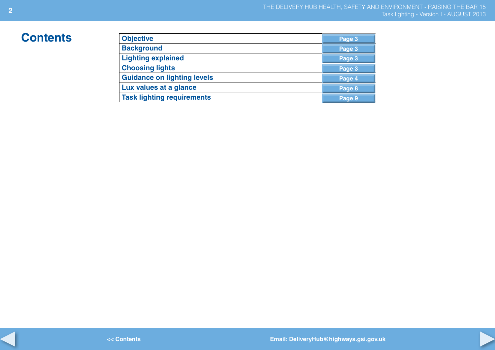## $Contents$

| <b>Objective</b>                   | Page 3 |
|------------------------------------|--------|
| <b>Background</b>                  | Page 3 |
| <b>Lighting explained</b>          | Page 3 |
| <b>Choosing lights</b>             | Page 3 |
| <b>Guidance on lighting levels</b> | Page 4 |
| Lux values at a glance             | Page 8 |
| <b>Task lighting requirements</b>  | Page 9 |

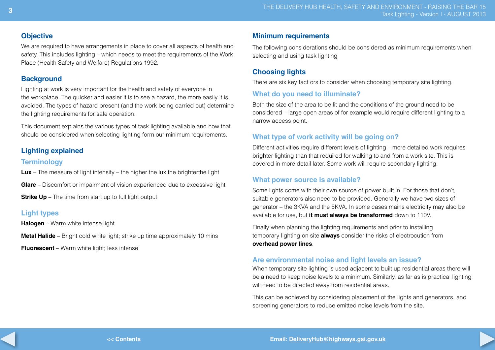#### **Objective**

We are required to have arrangements in place to cover all aspects of health and safety. This includes lighting – which needs to meet the requirements of the Work Place (Health Safety and Welfare) Regulations 1992.

#### **Background**

Lighting at work is very important for the health and safety of everyone in the workplace. The quicker and easier it is to see a hazard, the more easily it is avoided. The types of hazard present (and the work being carried out) determine the lighting requirements for safe operation.

This document explains the various types of task lighting available and how that should be considered when selecting lighting form our minimum requirements.

#### **Lighting explained**

#### **Terminology**

**Lux** – The measure of light intensity – the higher the lux the brighterthe light

**Glare** – Discomfort or impairment of vision experienced due to excessive light

**Strike Up** – The time from start up to full light output

#### **Light types**

**Halogen** – Warm white intense light

**Metal Halide** – Bright cold white light; strike up time approximately 10 mins

**Fluorescent** – Warm white light; less intense

#### **Minimum requirements**

The following considerations should be considered as minimum requirements when selecting and using task lighting

#### **Choosing lights**

There are six key fact ors to consider when choosing temporary site lighting.

#### **What do you need to illuminate?**

Both the size of the area to be lit and the conditions of the ground need to be considered – large open areas of for example would require different lighting to a narrow access point.

#### **What type of work activity will be going on?**

Different activities require different levels of lighting – more detailed work requires brighter lighting than that required for walking to and from a work site. This is covered in more detail later. Some work will require secondary lighting.

#### **What power source is available?**

Some lights come with their own source of power built in. For those that don't, suitable generators also need to be provided. Generally we have two sizes of generator – the 3KVA and the 5KVA. In some cases mains electricity may also be available for use, but **it must always be transformed** down to 110V.

Finally when planning the lighting requirements and prior to installing temporary lighting on site **always** consider the risks of electrocution from **overhead power lines**.

#### **Are environmental noise and light levels an issue?**

When temporary site lighting is used adjacent to built up residential areas there will be a need to keep noise levels to a minimum. Similarly, as far as is practical lighting will need to be directed away from residential areas.

This can be achieved by considering placement of the lights and generators, and screening generators to reduce emitted noise levels from the site.

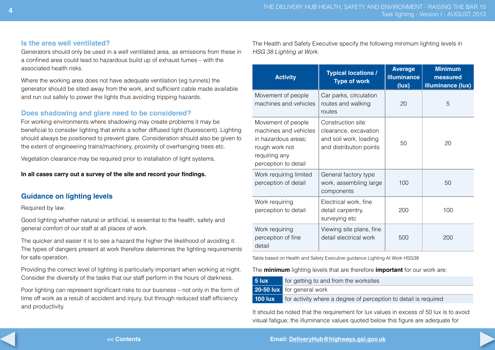#### **Is the area well ventilated?**

Generators should only be used in a well ventilated area, as emissions from these in a confined area could lead to hazardous build up of exhaust fumes – with the associated health risks.

Where the working area does not have adequate ventilation (eg tunnels) the generator should be sited away from the work, and sufficient cable made available and run out safely to power the lights thus avoiding tripping hazards.

#### **Does shadowing and glare need to be considered?**

For working environments where shadowing may create problems it may be beneficial to consider lighting that emits a softer diffused light (fluorescent). Lighting should always be positioned to prevent glare. Consideration should also be given to the extent of engineering trains/machinery, proximity of overhanging trees etc.

Vegetation clearance may be required prior to installation of light systems.

**In all cases carry out a survey of the site and record your findings.**

#### **Guidance on lighting levels**

Required by law.

Good lighting whether natural or artificial, is essential to the health, safety and general comfort of our staff at all places of work.

The quicker and easier it is to see a hazard the higher the likelihood of avoiding it. The types of dangers present at work therefore determines the lighting requirements for safe operation.

Providing the correct level of lighting is particularly important when working at night. Consider the diversity of the tasks that our staff perform in the hours of darkness.

Poor lighting can represent significant risks to our business – not only in the form of time off work as a result of accident and injury, but through reduced staff efficiency and productivity.

The Health and Safety Executive specify the following minimum lighting levels in *HSG 38 Lighting at Work.*

| <b>Activity</b>                                                                                                               | <b>Typical locations /</b><br><b>Type of work</b>                                               | <b>Average</b><br>illuminance<br>(lux) | <b>Minimum</b><br>measured<br>illuminance (lux) |
|-------------------------------------------------------------------------------------------------------------------------------|-------------------------------------------------------------------------------------------------|----------------------------------------|-------------------------------------------------|
| Movement of people<br>machines and vehicles                                                                                   | Car parks, circulation<br>routes and walking<br>routes                                          | 20                                     | 5                                               |
| Movement of people<br>machines and vehicles<br>in hazardous areas;<br>rough work not<br>requiring any<br>perception to detail | Construction site<br>clearance, excavation<br>and soil work, loading<br>and distribution points | 50                                     | 20                                              |
| Work requiring limited<br>perception of detail                                                                                | General factory type<br>work, assembling large<br>components                                    | 100                                    | 50                                              |
| Work requiring<br>perception to detail                                                                                        | Electrical work, fine<br>detail carpentry,<br>surveying etc                                     | 200                                    | 100                                             |
| Work requiring<br>perception of fine<br>detail                                                                                | Viewing site plans, fine<br>detail electrical work                                              | 500                                    | 200                                             |

Table based on Health and Safety Executive guidance Lighting At Work HSG38

The **minimum** lighting levels that are therefore **important** for our work are:

|           | for getting to and from the worksites                           |  |  |  |  |
|-----------|-----------------------------------------------------------------|--|--|--|--|
|           | <b>20-50 lux</b> for general work                               |  |  |  |  |
| $100$ lux | for activity where a degree of perception to detail is required |  |  |  |  |

It should be noted that the requirement for lux values in excess of 50 lux is to avoid visual fatigue; the illuminance values quoted below this figure are adequate for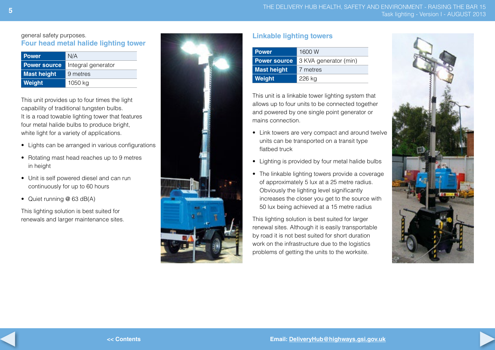THE DELIVERY HUB HEALTH, SAFETY AND ENVIRONMENT - RAISING THE BAR 15 Task lighting - Version I - AUGUST 2013

#### general safety purposes. **Four head metal halide lighting tower**

| <b>Power</b>        | N/A                |  |  |
|---------------------|--------------------|--|--|
| <b>Power source</b> | Integral generator |  |  |
| <b>Mast height</b>  | 9 metres           |  |  |
| Weight              | 1050 kg            |  |  |

This unit provides up to four times the light capability of traditional tungsten bulbs. It is a road towable lighting tower that features four metal halide bulbs to produce bright, white light for a variety of applications.

- Lights can be arranged in various configurations
- Rotating mast head reaches up to 9 metres in height
- Unit is self powered diesel and can run continuously for up to 60 hours
- Quiet running @ 63 dB(A)

This lighting solution is best suited for renewals and larger maintenance sites.



#### **Linkable lighting towers**

| <b>Power</b>        | 1600W                 |
|---------------------|-----------------------|
| <b>Power source</b> | 3 KVA generator (min) |
| <b>Mast height</b>  | 7 metres              |
| Weight              | 226 kg                |

This unit is a linkable tower lighting system that allows up to four units to be connected together and powered by one single point generator or mains connection.

- Link towers are very compact and around twelve units can be transported on a transit type flatbed truck
- Lighting is provided by four metal halide bulbs
- The linkable lighting towers provide a coverage of approximately 5 lux at a 25 metre radius. Obviously the lighting level significantly increases the closer you get to the source with 50 lux being achieved at a 15 metre radius

This lighting solution is best suited for larger renewal sites. Although it is easily transportable by road it is not best suited for short duration work on the infrastructure due to the logistics problems of getting the units to the worksite.

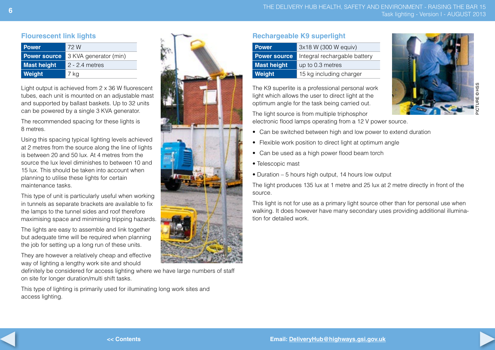#### **Flourescent link lights**

| <b>Power</b>        | 72 W                  |
|---------------------|-----------------------|
| <b>Power source</b> | 3 KVA generator (min) |
| <b>Mast height</b>  | $2 - 2.4$ metres      |
| Weight              | 7 kg                  |

Light output is achieved from 2 x 36 W fluorescent tubes, each unit is mounted on an adjustable mast and supported by ballast baskets. Up to 32 units can be powered by a single 3 KVA generator.

The recommended spacing for these lights is 8 metres.

Using this spacing typical lighting levels achieved at 2 metres from the source along the line of lights is between 20 and 50 lux. At 4 metres from the source the lux level diminishes to between 10 and 15 lux. This should be taken into account when planning to utilise these lights for certain maintenance tasks.

This type of unit is particularly useful when working in tunnels as separate brackets are available to fix the lamps to the tunnel sides and roof therefore maximising space and minimising tripping hazards.

The lights are easy to assemble and link together but adequate time will be required when planning the job for setting up a long run of these units.

They are however a relatively cheap and effective way of lighting a lengthy work site and should

definitely be considered for access lighting where we have large numbers of staff on site for longer duration/multi shift tasks.

This type of lighting is primarily used for illuminating long work sites and access lighting.



#### **Rechargeable K9 superlight**

| <b>Power</b>        | 3x18 W (300 W equiv)         |  |
|---------------------|------------------------------|--|
| <b>Power source</b> | Integral rechargable battery |  |
| <b>Mast height</b>  | up to 0.3 metres             |  |
| Weight              | 15 kg including charger      |  |

The K9 superlite is a professional personal work light which allows the user to direct light at the optimum angle for the task being carried out.

The light source is from multiple triphosphor electronic flood lamps operating from a 12 V power source.



- Can be switched between high and low power to extend duration
- Flexible work position to direct light at optimum angle
- Can be used as a high power flood beam torch
- Telescopic mast
- Duration 5 hours high output, 14 hours low output

The light produces 135 lux at 1 metre and 25 lux at 2 metre directly in front of the source.

This light is not for use as a primary light source other than for personal use when walking. It does however have many secondary uses providing additional illumination for detailed work.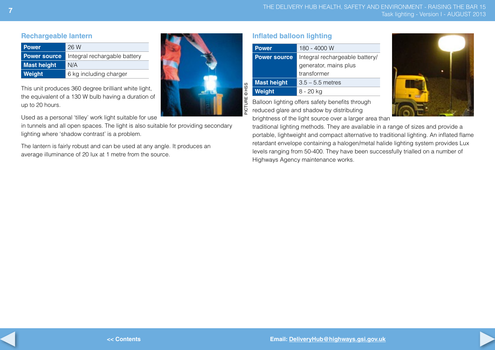#### **Rechargeable lantern**

| <b>Power</b>        | 26 W                         |  |
|---------------------|------------------------------|--|
| <b>Power source</b> | Integral rechargable battery |  |
| <b>Mast height</b>  | N/A                          |  |
| Weight              | 6 kg including charger       |  |

This unit produces 360 degree brilliant white light, the equivalent of a 130 W bulb having a duration of up to 20 hours.

Used as a personal 'tilley' work light suitable for use

in tunnels and all open spaces. The light is also suitable for providing secondary lighting where 'shadow contrast' is a problem.

The lantern is fairly robust and can be used at any angle. It produces an average illuminance of 20 lux at 1 metre from the source.

| ma l |               |
|------|---------------|
| I    | PICTURE © HSS |

**Inflated balloon lighting**

| <b>Power</b>        | 180 - 4000 W                   |  |  |
|---------------------|--------------------------------|--|--|
| <b>Power source</b> | Integral rechargeable battery/ |  |  |
|                     | generator, mains plus          |  |  |
|                     | transformer                    |  |  |
| <b>Mast height</b>  | $3.5 - 5.5$ metres             |  |  |
| Weight              | 8 - 20 kg                      |  |  |

Balloon lighting offers safety benefits through reduced glare and shadow by distributing

brightness of the light source over a larger area than

traditional lighting methods. They are available in a range of sizes and provide a portable, lightweight and compact alternative to traditional lighting. An inflated flame retardant envelope containing a halogen/metal halide lighting system provides Lux levels ranging from 50-400. They have been successfully trialled on a number of Highways Agency maintenance works.



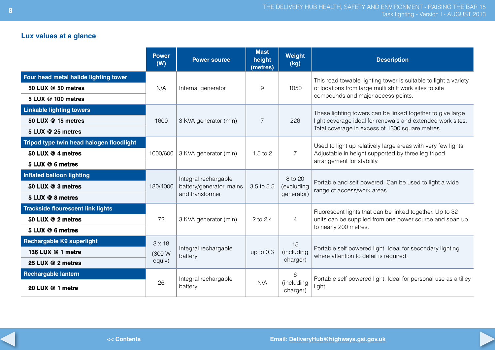### **Lux values at a glance**

|                                          | <b>Power</b><br>(W) | <b>Power source</b>             | <b>Mast</b><br>height<br>(metres) | Weight<br>(kg)         | <b>Description</b>                                                                                  |
|------------------------------------------|---------------------|---------------------------------|-----------------------------------|------------------------|-----------------------------------------------------------------------------------------------------|
| Four head metal halide lighting tower    |                     |                                 |                                   |                        | This road towable lighting tower is suitable to light a variety                                     |
| 50 LUX @ 50 metres                       | N/A                 | Internal generator              | 9                                 | 1050                   | of locations from large multi shift work sites to site                                              |
| 5 LUX @ 100 metres                       |                     |                                 |                                   |                        | compounds and major access points.                                                                  |
| <b>Linkable lighting towers</b>          |                     |                                 |                                   |                        | These lighting towers can be linked together to give large                                          |
| 50 LUX @ 15 metres                       | 1600                | 3 KVA generator (min)           | $\overline{7}$                    | 226                    | light coverage ideal for renewals and extended work sites.                                          |
| 5 LUX @ 25 metres                        |                     |                                 |                                   |                        | Total coverage in excess of 1300 square metres.                                                     |
| Tripod type twin head halogen floodlight |                     |                                 |                                   |                        | Used to light up relatively large areas with very few lights.                                       |
| 50 LUX @ 4 metres                        | 1000/600            | 3 KVA generator (min)           | 1.5 to $2$                        | $\overline{7}$         | Adjustable in height supported by three leg tripod                                                  |
| 5 LUX @ 6 metres                         |                     |                                 |                                   |                        | arrangement for stability.                                                                          |
| <b>Inflated balloon lighting</b>         |                     | Integral rechargable            |                                   | 8 to 20                |                                                                                                     |
| 50 LUX @ 3 metres                        | 180/4000            | battery/generator, mains        | 3.5 to 5.5                        | (excluding             | Portable and self powered. Can be used to light a wide<br>range of access/work areas.               |
| 5 LUX @ 8 metres                         |                     | and transformer                 |                                   | generator)             |                                                                                                     |
| <b>Trackside flourescent link lights</b> |                     |                                 |                                   |                        | Fluorescent lights that can be linked together. Up to 32                                            |
| 50 LUX @ 2 metres                        | 72                  | 3 KVA generator (min)           | 2 to 2.4                          | $\overline{4}$         | units can be supplied from one power source and span up                                             |
| 5 LUX @ 6 metres                         |                     |                                 |                                   |                        | to nearly 200 metres.                                                                               |
| <b>Rechargable K9 superlight</b>         | $3 \times 18$       |                                 |                                   | 15                     |                                                                                                     |
| 136 LUX @ 1 metre                        | (300 W              | Integral rechargable<br>battery | up to 0.3                         | (including<br>charger) | Portable self powered light. Ideal for secondary lighting<br>where attention to detail is required. |
| 25 LUX @ 2 metres                        | equiv)              |                                 |                                   |                        |                                                                                                     |
| <b>Rechargable lantern</b>               |                     | Integral rechargable            |                                   | 6                      | Portable self powered light. Ideal for personal use as a tilley                                     |
| 20 LUX @ 1 metre                         | 26                  | battery                         | N/A                               | (including<br>charger) | light.                                                                                              |



**<< Contents**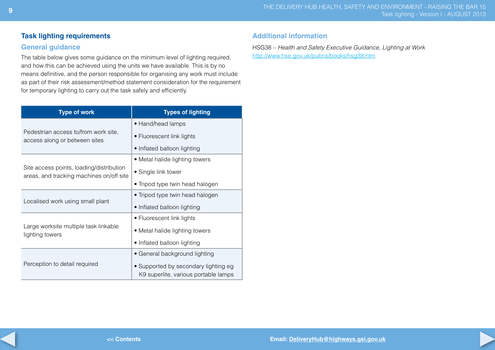#### **Task lighting requirements**

#### **General guidance**

The table below gives some guidance on the minimum level of lighting required, and how this can be achieved using the units we have available. This is by no means definitive, and the person responsible for organising any work must include as part of their risk assessment/method statement consideration for the requirement for temporary lighting to carry out the task safely and efficiently.

| <b>Type of work</b>                                                                  | <b>Types of lighting</b>                                                     |  |
|--------------------------------------------------------------------------------------|------------------------------------------------------------------------------|--|
|                                                                                      | • Hand/head lamps                                                            |  |
| Pedestrian access to/from work site,<br>access along or between sites                | • Fluorescent link lights                                                    |  |
|                                                                                      | • Inflated balloon lighting                                                  |  |
|                                                                                      | • Metal halide lighting towers                                               |  |
| Site access points, loading/distribution<br>areas, and tracking machines on/off site | • Single link tower                                                          |  |
|                                                                                      | • Tripod type twin head halogen                                              |  |
| Localised work using small plant                                                     | • Tripod type twin head halogen                                              |  |
|                                                                                      | • Inflated balloon lighting                                                  |  |
|                                                                                      | • Fluorescent link lights                                                    |  |
| Large worksite multiple task linkable<br>lighting towers                             | • Metal halide lighting towers                                               |  |
|                                                                                      | • Inflated balloon lighting                                                  |  |
|                                                                                      | • General background lighting                                                |  |
| Perception to detail required                                                        | • Supported by secondary lighting eg<br>K9 superlite, various portable lamps |  |

#### **Additional information**

HSG38 – *Health and Safety Executive Guidance, Lighting at Work*  http://www.hse.gov.uk/pubns/books/hsg38.htm